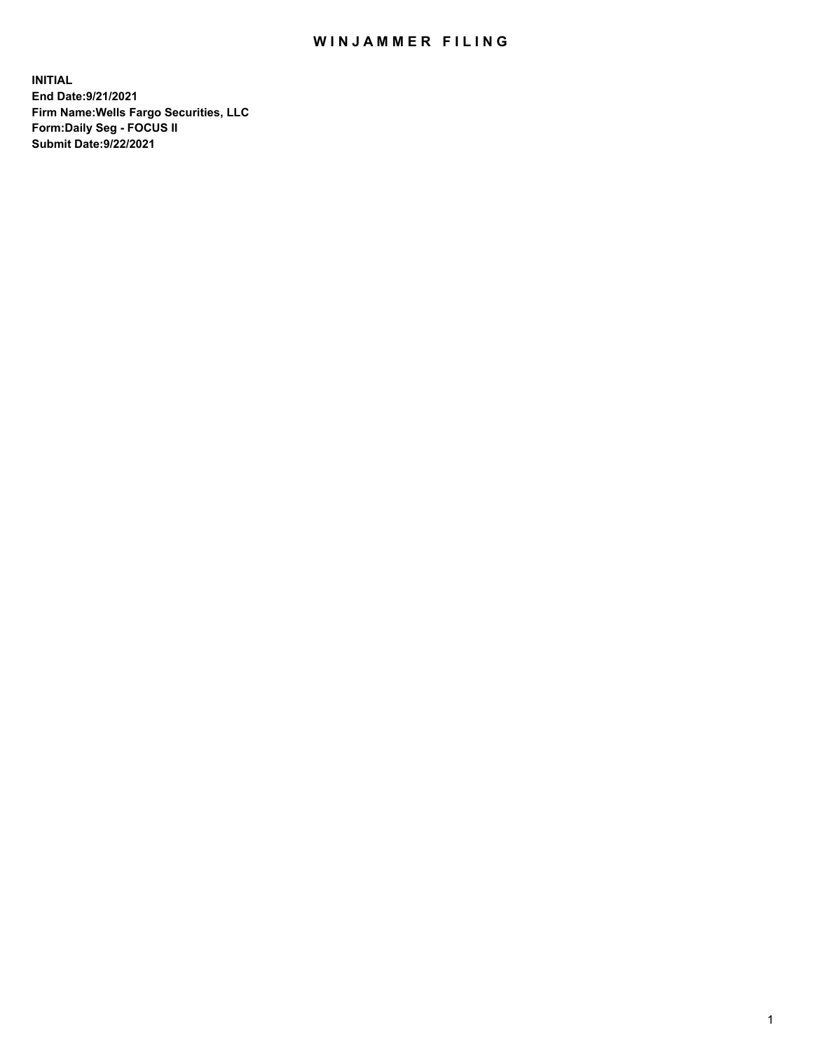## WIN JAMMER FILING

**INITIAL End Date:9/21/2021 Firm Name:Wells Fargo Securities, LLC Form:Daily Seg - FOCUS II Submit Date:9/22/2021**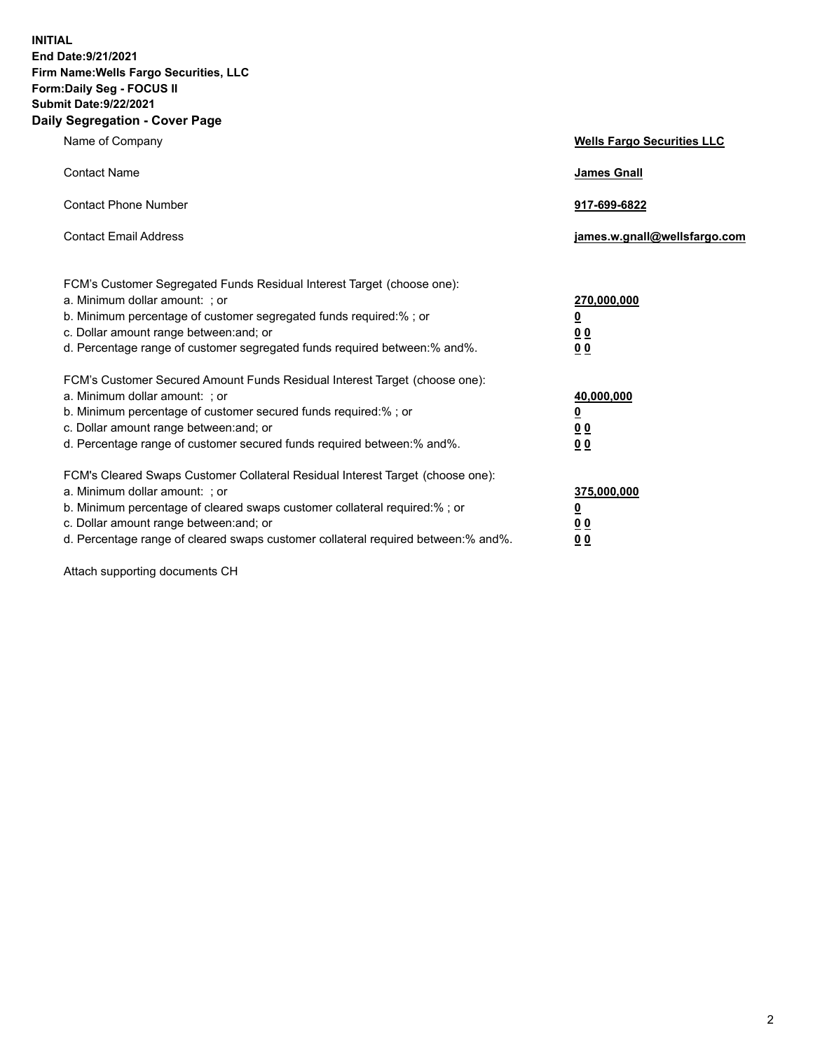**INITIAL End Date:9/21/2021 Firm Name:Wells Fargo Securities, LLC Form:Daily Seg - FOCUS II Submit Date:9/22/2021 Daily Segregation - Cover Page**

| Name of Company                                                                                                                                                                                                                                                                                                                | <b>Wells Fargo Securities LLC</b>                                         |
|--------------------------------------------------------------------------------------------------------------------------------------------------------------------------------------------------------------------------------------------------------------------------------------------------------------------------------|---------------------------------------------------------------------------|
| <b>Contact Name</b>                                                                                                                                                                                                                                                                                                            | <b>James Gnall</b>                                                        |
| <b>Contact Phone Number</b>                                                                                                                                                                                                                                                                                                    | 917-699-6822                                                              |
| <b>Contact Email Address</b>                                                                                                                                                                                                                                                                                                   | james.w.gnall@wellsfargo.com                                              |
| FCM's Customer Segregated Funds Residual Interest Target (choose one):<br>a. Minimum dollar amount: ; or<br>b. Minimum percentage of customer segregated funds required:% ; or<br>c. Dollar amount range between: and; or<br>d. Percentage range of customer segregated funds required between:% and%.                         | 270,000,000<br>$\overline{\mathbf{0}}$<br>0 <sub>0</sub><br>00            |
| FCM's Customer Secured Amount Funds Residual Interest Target (choose one):<br>a. Minimum dollar amount: ; or<br>b. Minimum percentage of customer secured funds required:%; or<br>c. Dollar amount range between: and; or<br>d. Percentage range of customer secured funds required between:% and%.                            | 40,000,000<br>$\overline{\mathbf{0}}$<br>0 <sub>0</sub><br>0 <sub>0</sub> |
| FCM's Cleared Swaps Customer Collateral Residual Interest Target (choose one):<br>a. Minimum dollar amount: ; or<br>b. Minimum percentage of cleared swaps customer collateral required:% ; or<br>c. Dollar amount range between: and; or<br>d. Percentage range of cleared swaps customer collateral required between:% and%. | 375,000,000<br><u>0</u><br>00<br>00                                       |

Attach supporting documents CH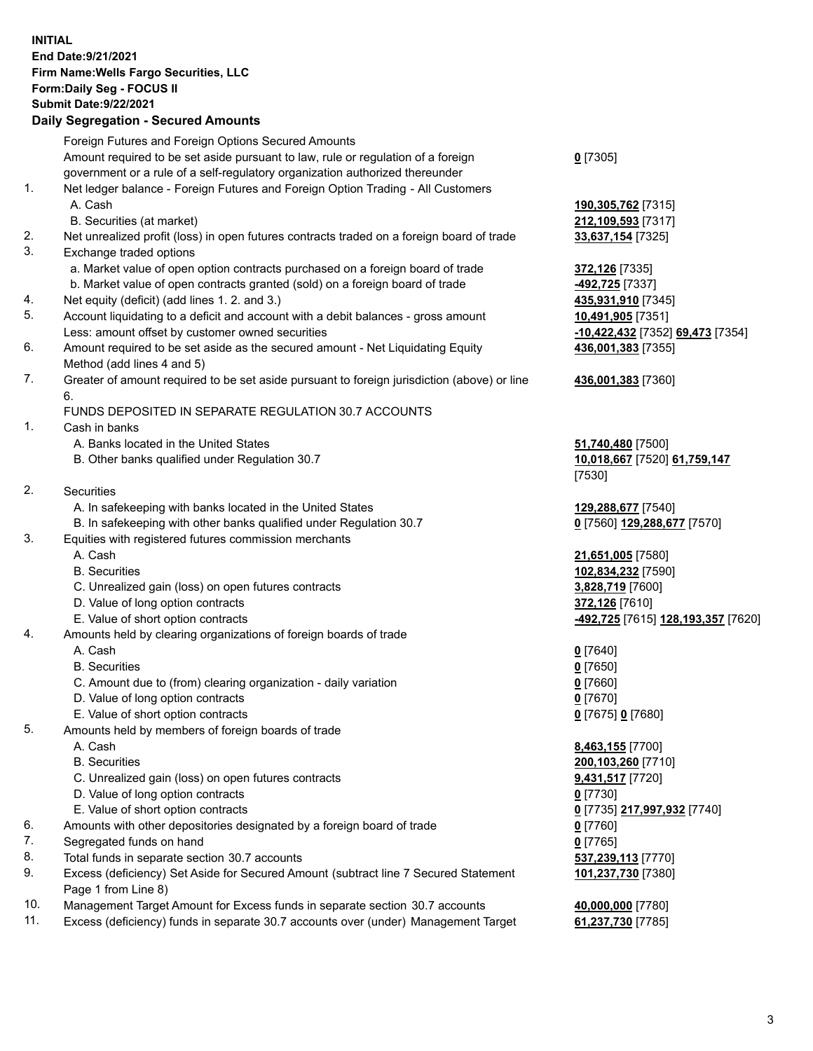**INITIAL End Date:9/21/2021 Firm Name:Wells Fargo Securities, LLC Form:Daily Seg - FOCUS II Submit Date:9/22/2021**

## **Daily Segregation - Secured Amounts**

|     | Foreign Futures and Foreign Options Secured Amounts                                         |                                    |
|-----|---------------------------------------------------------------------------------------------|------------------------------------|
|     | Amount required to be set aside pursuant to law, rule or regulation of a foreign            | $0$ [7305]                         |
|     | government or a rule of a self-regulatory organization authorized thereunder                |                                    |
| 1.  | Net ledger balance - Foreign Futures and Foreign Option Trading - All Customers             |                                    |
|     | A. Cash                                                                                     | 190,305,762 [7315]                 |
|     | B. Securities (at market)                                                                   | 212,109,593 [7317]                 |
| 2.  | Net unrealized profit (loss) in open futures contracts traded on a foreign board of trade   | 33,637,154 [7325]                  |
| 3.  | Exchange traded options                                                                     |                                    |
|     | a. Market value of open option contracts purchased on a foreign board of trade              | 372,126 [7335]                     |
|     | b. Market value of open contracts granted (sold) on a foreign board of trade                | -492,725 [7337]                    |
| 4.  | Net equity (deficit) (add lines 1. 2. and 3.)                                               | 435,931,910 [7345]                 |
| 5.  | Account liquidating to a deficit and account with a debit balances - gross amount           | 10,491,905 [7351]                  |
|     | Less: amount offset by customer owned securities                                            | -10,422,432 [7352] 69,473 [7354]   |
| 6.  | Amount required to be set aside as the secured amount - Net Liquidating Equity              | 436,001,383 [7355]                 |
|     | Method (add lines 4 and 5)                                                                  |                                    |
| 7.  | Greater of amount required to be set aside pursuant to foreign jurisdiction (above) or line | 436,001,383 [7360]                 |
|     | 6.                                                                                          |                                    |
|     | FUNDS DEPOSITED IN SEPARATE REGULATION 30.7 ACCOUNTS                                        |                                    |
| 1.  | Cash in banks                                                                               |                                    |
|     | A. Banks located in the United States                                                       | 51,740,480 [7500]                  |
|     | B. Other banks qualified under Regulation 30.7                                              | 10,018,667 [7520] 61,759,147       |
|     |                                                                                             | [7530]                             |
| 2.  | <b>Securities</b>                                                                           |                                    |
|     | A. In safekeeping with banks located in the United States                                   | 129,288,677 [7540]                 |
|     | B. In safekeeping with other banks qualified under Regulation 30.7                          | 0 [7560] 129,288,677 [7570]        |
| 3.  | Equities with registered futures commission merchants                                       |                                    |
|     | A. Cash                                                                                     | 21,651,005 [7580]                  |
|     | <b>B.</b> Securities                                                                        | 102,834,232 [7590]                 |
|     | C. Unrealized gain (loss) on open futures contracts                                         | 3,828,719 [7600]                   |
|     | D. Value of long option contracts                                                           | 372,126 [7610]                     |
|     | E. Value of short option contracts                                                          | -492,725 [7615] 128,193,357 [7620] |
| 4.  | Amounts held by clearing organizations of foreign boards of trade                           |                                    |
|     | A. Cash                                                                                     | $0$ [7640]                         |
|     | <b>B.</b> Securities                                                                        | $0$ [7650]                         |
|     | C. Amount due to (from) clearing organization - daily variation                             | $0$ [7660]                         |
|     | D. Value of long option contracts                                                           | $0$ [7670]                         |
|     | E. Value of short option contracts                                                          | 0 [7675] 0 [7680]                  |
| 5.  | Amounts held by members of foreign boards of trade                                          |                                    |
|     | A. Cash                                                                                     | 8,463,155 [7700]                   |
|     | <b>B.</b> Securities                                                                        | 200,103,260 [7710]                 |
|     | C. Unrealized gain (loss) on open futures contracts                                         | 9,431,517 [7720]                   |
|     | D. Value of long option contracts                                                           | $0$ [7730]                         |
|     | E. Value of short option contracts                                                          | 0 [7735] 217,997,932 [7740]        |
| 6.  | Amounts with other depositories designated by a foreign board of trade                      | 0 [7760]                           |
| 7.  | Segregated funds on hand                                                                    | $0$ [7765]                         |
| 8.  | Total funds in separate section 30.7 accounts                                               | 537,239,113 [7770]                 |
| 9.  | Excess (deficiency) Set Aside for Secured Amount (subtract line 7 Secured Statement         | 101,237,730 [7380]                 |
|     | Page 1 from Line 8)                                                                         |                                    |
| 10. | Management Target Amount for Excess funds in separate section 30.7 accounts                 | 40,000,000 [7780]                  |
|     |                                                                                             |                                    |

11. Excess (deficiency) funds in separate 30.7 accounts over (under) Management Target **61,237,730** [7785]

3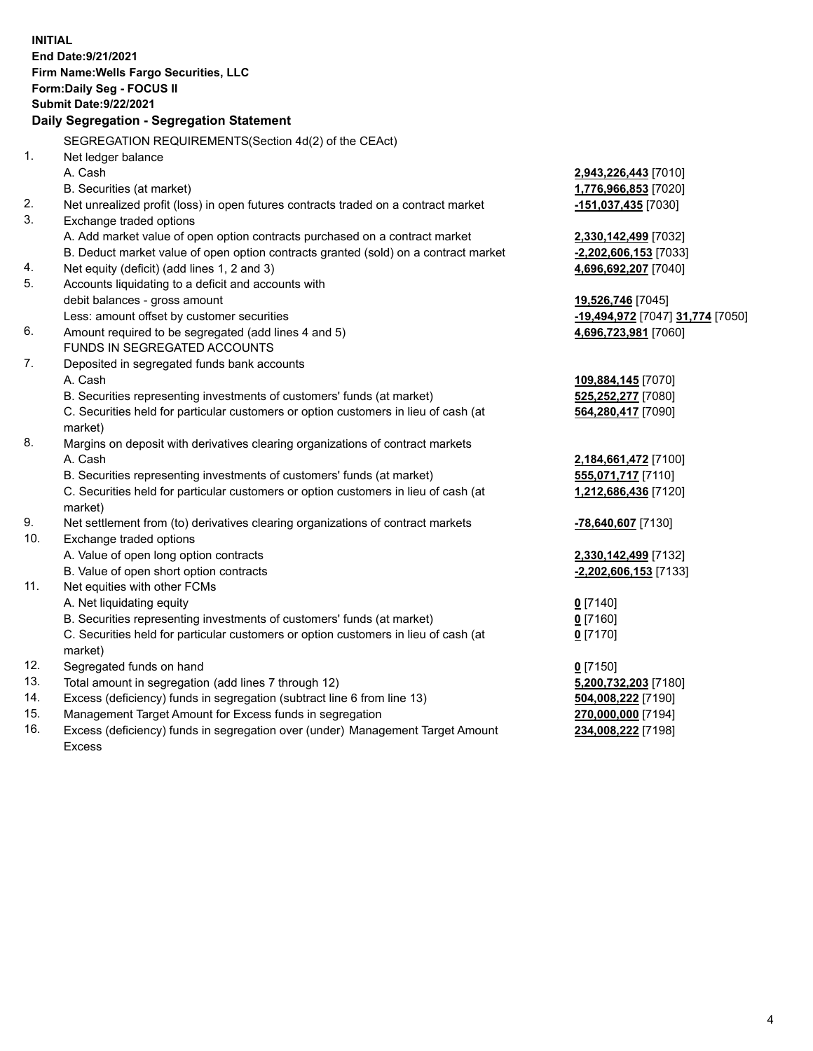**INITIAL End Date:9/21/2021 Firm Name:Wells Fargo Securities, LLC Form:Daily Seg - FOCUS II Submit Date:9/22/2021 Daily Segregation - Segregation Statement** SEGREGATION REQUIREMENTS(Section 4d(2) of the CEAct) 1. Net ledger balance A. Cash **2,943,226,443** [7010] B. Securities (at market) **1,776,966,853** [7020] 2. Net unrealized profit (loss) in open futures contracts traded on a contract market **-151,037,435** [7030] 3. Exchange traded options A. Add market value of open option contracts purchased on a contract market **2,330,142,499** [7032] B. Deduct market value of open option contracts granted (sold) on a contract market **-2,202,606,153** [7033] 4. Net equity (deficit) (add lines 1, 2 and 3) **4,696,692,207** [7040] 5. Accounts liquidating to a deficit and accounts with debit balances - gross amount **19,526,746** [7045] Less: amount offset by customer securities **-19,494,972** [7047] **31,774** [7050] 6. Amount required to be segregated (add lines 4 and 5) **4,696,723,981** [7060] FUNDS IN SEGREGATED ACCOUNTS 7. Deposited in segregated funds bank accounts A. Cash **109,884,145** [7070] B. Securities representing investments of customers' funds (at market) **525,252,277** [7080] C. Securities held for particular customers or option customers in lieu of cash (at market) **564,280,417** [7090] 8. Margins on deposit with derivatives clearing organizations of contract markets A. Cash **2,184,661,472** [7100] B. Securities representing investments of customers' funds (at market) **555,071,717** [7110] C. Securities held for particular customers or option customers in lieu of cash (at market) **1,212,686,436** [7120] 9. Net settlement from (to) derivatives clearing organizations of contract markets **-78,640,607** [7130] 10. Exchange traded options A. Value of open long option contracts **2,330,142,499** [7132] B. Value of open short option contracts **-2,202,606,153** [7133] 11. Net equities with other FCMs A. Net liquidating equity **0** [7140] B. Securities representing investments of customers' funds (at market) **0** [7160] C. Securities held for particular customers or option customers in lieu of cash (at market) **0** [7170] 12. Segregated funds on hand **0** [7150] 13. Total amount in segregation (add lines 7 through 12) **5,200,732,203** [7180] 14. Excess (deficiency) funds in segregation (subtract line 6 from line 13) **504,008,222** [7190]

- 15. Management Target Amount for Excess funds in segregation **270,000,000** [7194]
- 16. Excess (deficiency) funds in segregation over (under) Management Target Amount Excess

**234,008,222** [7198]